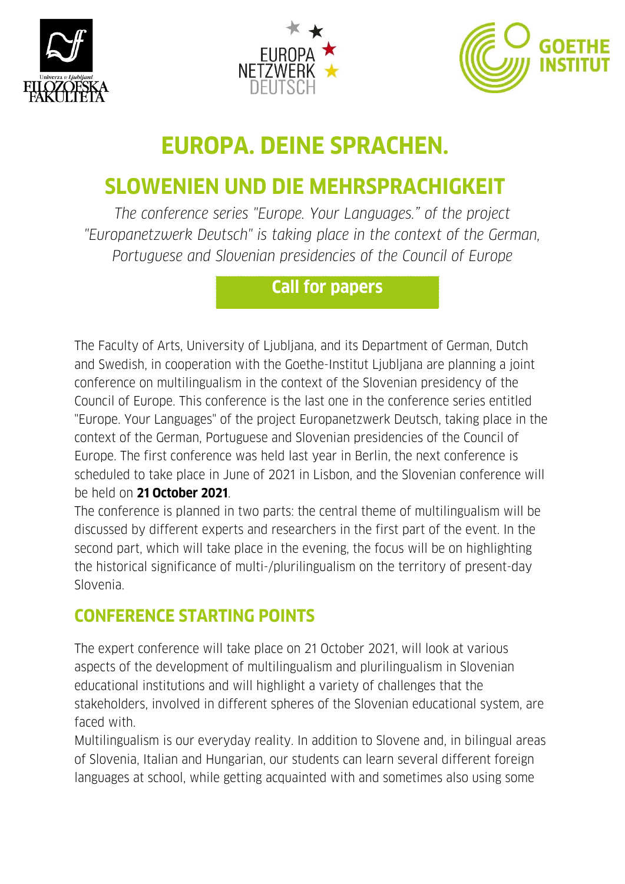





# **EUROPA. DEINE SPRACHEN.**

## **SLOWENIEN UND DIE MEHRSPRACHIGKEIT**

*The conference series "Europe. Your Languages." of the project "Europanetzwerk Deutsch" is taking place in the context of the German, Portuguese and Slovenian presidencies of the Council of Europe* 

## **Call for papers**

The Faculty of Arts, University of Ljubljana, and its Department of German, Dutch and Swedish, in cooperation with the Goethe-Institut Ljubljana are planning a joint conference on multilingualism in the context of the Slovenian presidency of the Council of Europe. This conference is the last one in the conference series entitled "Europe. Your Languages" of the project Europanetzwerk Deutsch, taking place in the context of the German, Portuguese and Slovenian presidencies of the Council of Europe. The first conference was held last year in Berlin, the next conference is scheduled to take place in June of 2021 in Lisbon, and the Slovenian conference will be held on **21 October 2021**.

The conference is planned in two parts: the central theme of multilingualism will be discussed by different experts and researchers in the first part of the event. In the second part, which will take place in the evening, the focus will be on highlighting the historical significance of multi-/plurilingualism on the territory of present-day Slovenia.

## **CONFERENCE STARTING POINTS**

The expert conference will take place on 21 October 2021, will look at various aspects of the development of multilingualism and plurilingualism in Slovenian educational institutions and will highlight a variety of challenges that the stakeholders, involved in different spheres of the Slovenian educational system, are faced with.

Multilingualism is our everyday reality. In addition to Slovene and, in bilingual areas of Slovenia, Italian and Hungarian, our students can learn several different foreign languages at school, while getting acquainted with and sometimes also using some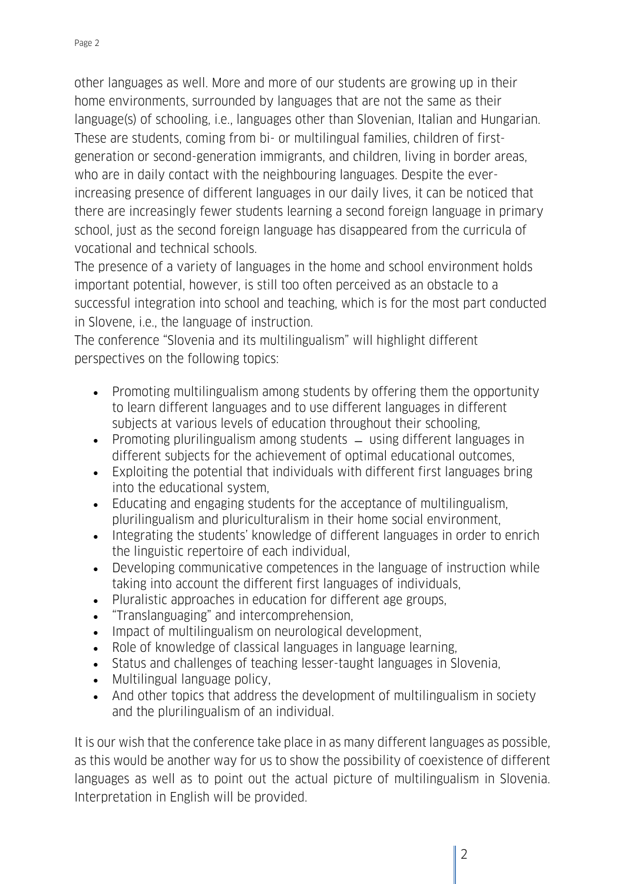other languages as well. More and more of our students are growing up in their home environments, surrounded by languages that are not the same as their language(s) of schooling, i.e., languages other than Slovenian, Italian and Hungarian. These are students, coming from bi- or multilingual families, children of firstgeneration or second-generation immigrants, and children, living in border areas, who are in daily contact with the neighbouring languages. Despite the everincreasing presence of different languages in our daily lives, it can be noticed that there are increasingly fewer students learning a second foreign language in primary school, just as the second foreign language has disappeared from the curricula of vocational and technical schools.

The presence of a variety of languages in the home and school environment holds important potential, however, is still too often perceived as an obstacle to a successful integration into school and teaching, which is for the most part conducted in Slovene, i.e., the language of instruction.

The conference "Slovenia and its multilingualism" will highlight different perspectives on the following topics:

- Promoting multilingualism among students by offering them the opportunity to learn different languages and to use different languages in different subjects at various levels of education throughout their schooling,
- Promoting plurilingualism among students  $-$  using different languages in different subjects for the achievement of optimal educational outcomes,
- Exploiting the potential that individuals with different first languages bring into the educational system,
- Educating and engaging students for the acceptance of multilingualism, plurilingualism and pluriculturalism in their home social environment,
- Integrating the students' knowledge of different languages in order to enrich the linguistic repertoire of each individual,
- Developing communicative competences in the language of instruction while taking into account the different first languages of individuals,
- Pluralistic approaches in education for different age groups,
- "Translanguaging" and intercomprehension,
- Impact of multilingualism on neurological development,
- Role of knowledge of classical languages in language learning,
- Status and challenges of teaching lesser-taught languages in Slovenia,
- Multilingual language policy,
- And other topics that address the development of multilingualism in society and the plurilingualism of an individual.

It is our wish that the conference take place in as many different languages as possible, as this would be another way for us to show the possibility of coexistence of different languages as well as to point out the actual picture of multilingualism in Slovenia. Interpretation in English will be provided.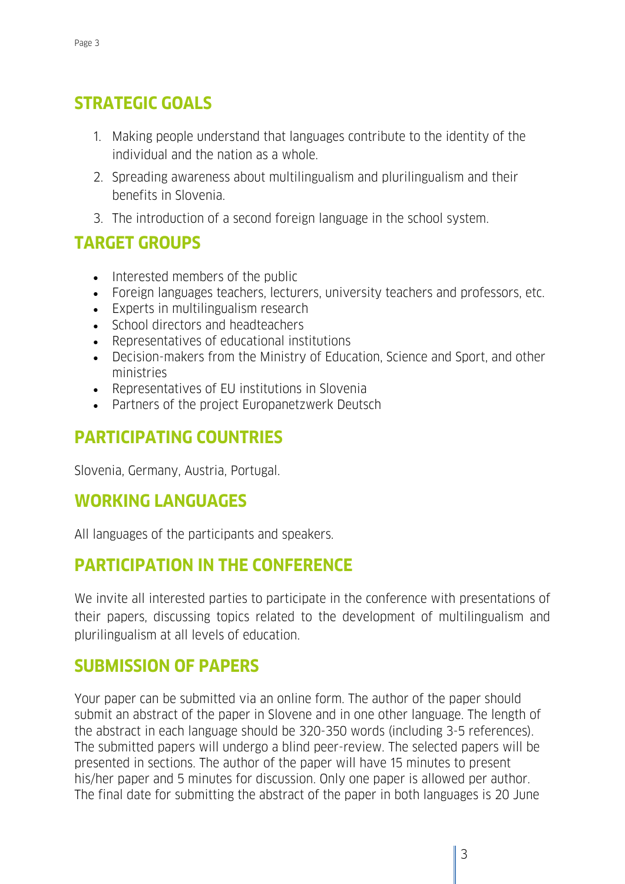### **STRATEGIC GOALS**

- 1. Making people understand that languages contribute to the identity of the individual and the nation as a whole.
- 2. Spreading awareness about multilingualism and plurilingualism and their benefits in Slovenia.
- 3. The introduction of a second foreign language in the school system.

### **TARGET GROUPS**

- Interested members of the public
- Foreign languages teachers, lecturers, university teachers and professors, etc.
- Experts in multilingualism research
- School directors and headteachers
- Representatives of educational institutions
- Decision-makers from the Ministry of Education, Science and Sport, and other ministries
- Representatives of EU institutions in Slovenia
- Partners of the project Europanetzwerk Deutsch

## **PARTICIPATING COUNTRIES**

Slovenia, Germany, Austria, Portugal.

#### **WORKING LANGUAGES**

All languages of the participants and speakers.

#### **PARTICIPATION IN THE CONFERENCE**

We invite all interested parties to participate in the conference with presentations of their papers, discussing topics related to the development of multilingualism and plurilingualism at all levels of education.

#### **SUBMISSION OF PAPERS**

Your paper can be submitted via an online form. The author of the paper should submit an abstract of the paper in Slovene and in one other language. The length of the abstract in each language should be 320-350 words (including 3-5 references). The submitted papers will undergo a blind peer-review. The selected papers will be presented in sections. The author of the paper will have 15 minutes to present his/her paper and 5 minutes for discussion. Only one paper is allowed per author. The final date for submitting the abstract of the paper in both languages is 20 June